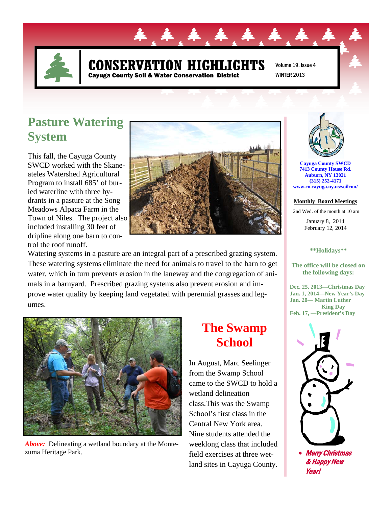

### **N HIGHLIGHTS** Cayuga County Soil & Water Conservation District

Volume 19, Issue 4 WINTER 2013

# **Pasture Watering System**

This fall, the Cayuga County SWCD worked with the Skaneateles Watershed Agricultural Program to install 685' of buried waterline with three hydrants in a pasture at the Song Meadows Alpaca Farm in the Town of Niles. The project also included installing 30 feet of dripline along one barn to control the roof runoff.



Watering systems in a pasture are an integral part of a prescribed grazing system. These watering systems eliminate the need for animals to travel to the barn to get water, which in turn prevents erosion in the laneway and the congregation of animals in a barnyard. Prescribed grazing systems also prevent erosion and improve water quality by keeping land vegetated with perennial grasses and legumes.



*Above:* Delineating a wetland boundary at the Montezuma Heritage Park.

# **The Swamp School**

In August, Marc Seelinger from the Swamp School came to the SWCD to hold a wetland delineation class.This was the Swamp School's first class in the Central New York area. Nine students attended the weeklong class that included field exercises at three wetland sites in Cayuga County.



**Cayuga County SWCD 7413 County House Rd. Auburn, NY 13021 (315) 252-4171 www.co.cayuga.ny.us/soilcon/**

**Monthly Board Meetings**

2nd Wed. of the month at 10 am

January 8, 2014 February 12, 2014

#### **\*\*Holidays\*\***

**The office will be closed on the following days:** 

**Dec. 25, 2013—Christmas Day Jan. 1, 2014—New Year's Day Jan. 20— Martin Luther King Day Feb. 17, —President's Day** 



& Happy New Year!